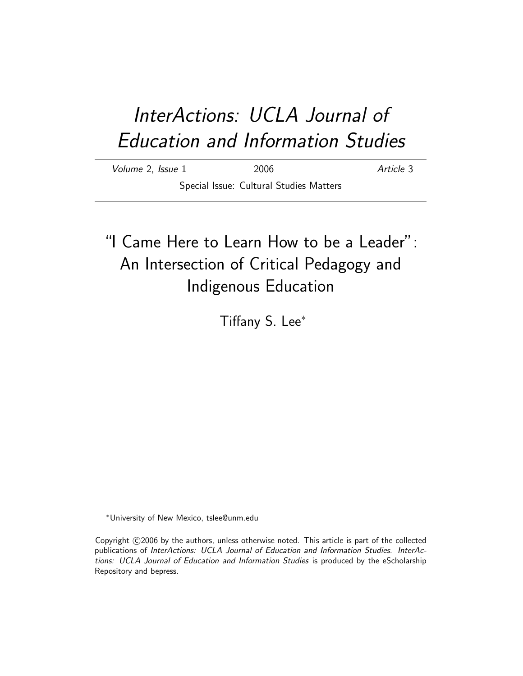# InterActions: UCLA Journal of Education and Information Studies

Volume 2, Issue 1 2006 2006 Article 3 Special Issue: Cultural Studies Matters

# "I Came Here to Learn How to be a Leader": An Intersection of Critical Pedagogy and Indigenous Education

Tiffany S. Lee<sup>∗</sup>

<sup>∗</sup>University of New Mexico, tslee@unm.edu

Copyright C2006 by the authors, unless otherwise noted. This article is part of the collected publications of InterActions: UCLA Journal of Education and Information Studies. InterActions: UCLA Journal of Education and Information Studies is produced by the eScholarship Repository and bepress.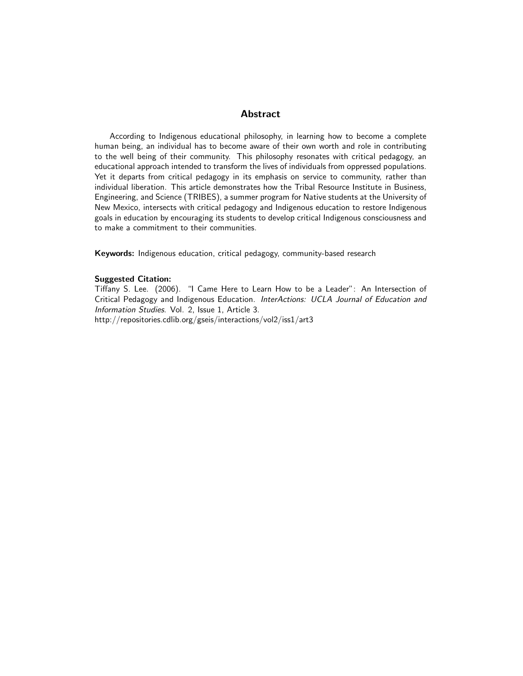#### Abstract

According to Indigenous educational philosophy, in learning how to become a complete human being, an individual has to become aware of their own worth and role in contributing to the well being of their community. This philosophy resonates with critical pedagogy, an educational approach intended to transform the lives of individuals from oppressed populations. Yet it departs from critical pedagogy in its emphasis on service to community, rather than individual liberation. This article demonstrates how the Tribal Resource Institute in Business, Engineering, and Science (TRIBES), a summer program for Native students at the University of New Mexico, intersects with critical pedagogy and Indigenous education to restore Indigenous goals in education by encouraging its students to develop critical Indigenous consciousness and to make a commitment to their communities.

Keywords: Indigenous education, critical pedagogy, community-based research

#### Suggested Citation:

Tiffany S. Lee. (2006). "I Came Here to Learn How to be a Leader": An Intersection of Critical Pedagogy and Indigenous Education. InterActions: UCLA Journal of Education and Information Studies. Vol. 2, Issue 1, Article 3. http://repositories.cdlib.org/gseis/interactions/vol2/iss1/art3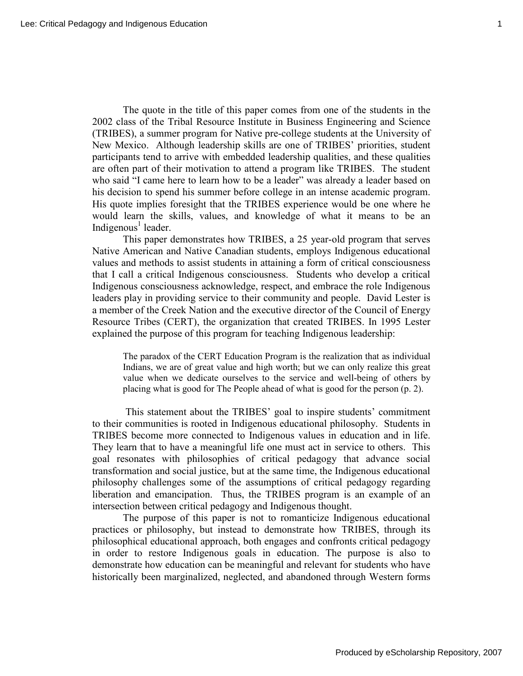The quote in the title of this paper comes from one of the students in the 2002 class of the Tribal Resource Institute in Business Engineering and Science (TRIBES), a summer program for Native pre-college students at the University of New Mexico. Although leadership skills are one of TRIBES' priorities, student participants tend to arrive with embedded leadership qualities, and these qualities are often part of their motivation to attend a program like TRIBES. The student who said "I came here to learn how to be a leader" was already a leader based on his decision to spend his summer before college in an intense academic program. His quote implies foresight that the TRIBES experience would be one where he would learn the skills, values, and knowledge of what it means to be an Indigenous<sup>1</sup> leader.

This paper demonstrates how TRIBES, a 25 year-old program that serves Native American and Native Canadian students, employs Indigenous educational values and methods to assist students in attaining a form of critical consciousness that I call a critical Indigenous consciousness. Students who develop a critical Indigenous consciousness acknowledge, respect, and embrace the role Indigenous leaders play in providing service to their community and people. David Lester is a member of the Creek Nation and the executive director of the Council of Energy Resource Tribes (CERT), the organization that created TRIBES. In 1995 Lester explained the purpose of this program for teaching Indigenous leadership:

The paradox of the CERT Education Program is the realization that as individual Indians, we are of great value and high worth; but we can only realize this great value when we dedicate ourselves to the service and well-being of others by placing what is good for The People ahead of what is good for the person (p. 2).

This statement about the TRIBES' goal to inspire students' commitment to their communities is rooted in Indigenous educational philosophy. Students in TRIBES become more connected to Indigenous values in education and in life. They learn that to have a meaningful life one must act in service to others. This goal resonates with philosophies of critical pedagogy that advance social transformation and social justice, but at the same time, the Indigenous educational philosophy challenges some of the assumptions of critical pedagogy regarding liberation and emancipation. Thus, the TRIBES program is an example of an intersection between critical pedagogy and Indigenous thought.

The purpose of this paper is not to romanticize Indigenous educational practices or philosophy, but instead to demonstrate how TRIBES, through its philosophical educational approach, both engages and confronts critical pedagogy in order to restore Indigenous goals in education. The purpose is also to demonstrate how education can be meaningful and relevant for students who have historically been marginalized, neglected, and abandoned through Western forms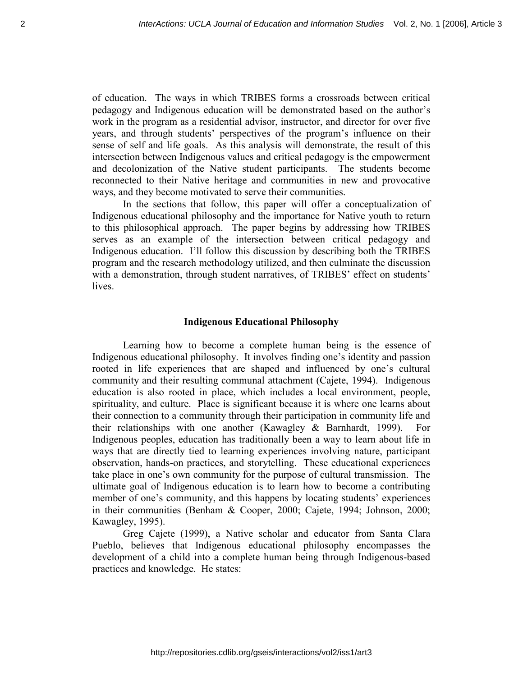of education. The ways in which TRIBES forms a crossroads between critical pedagogy and Indigenous education will be demonstrated based on the author's work in the program as a residential advisor, instructor, and director for over five years, and through students' perspectives of the program's influence on their sense of self and life goals. As this analysis will demonstrate, the result of this intersection between Indigenous values and critical pedagogy is the empowerment and decolonization of the Native student participants. The students become reconnected to their Native heritage and communities in new and provocative ways, and they become motivated to serve their communities.

 In the sections that follow, this paper will offer a conceptualization of Indigenous educational philosophy and the importance for Native youth to return to this philosophical approach. The paper begins by addressing how TRIBES serves as an example of the intersection between critical pedagogy and Indigenous education. I'll follow this discussion by describing both the TRIBES program and the research methodology utilized, and then culminate the discussion with a demonstration, through student narratives, of TRIBES' effect on students' lives.

#### **Indigenous Educational Philosophy**

Learning how to become a complete human being is the essence of Indigenous educational philosophy. It involves finding one's identity and passion rooted in life experiences that are shaped and influenced by one's cultural community and their resulting communal attachment (Cajete, 1994). Indigenous education is also rooted in place, which includes a local environment, people, spirituality, and culture. Place is significant because it is where one learns about their connection to a community through their participation in community life and their relationships with one another (Kawagley & Barnhardt, 1999). For Indigenous peoples, education has traditionally been a way to learn about life in ways that are directly tied to learning experiences involving nature, participant observation, hands-on practices, and storytelling. These educational experiences take place in one's own community for the purpose of cultural transmission. The ultimate goal of Indigenous education is to learn how to become a contributing member of one's community, and this happens by locating students' experiences in their communities (Benham & Cooper, 2000; Cajete, 1994; Johnson, 2000; Kawagley, 1995).

 Greg Cajete (1999), a Native scholar and educator from Santa Clara Pueblo, believes that Indigenous educational philosophy encompasses the development of a child into a complete human being through Indigenous-based practices and knowledge. He states: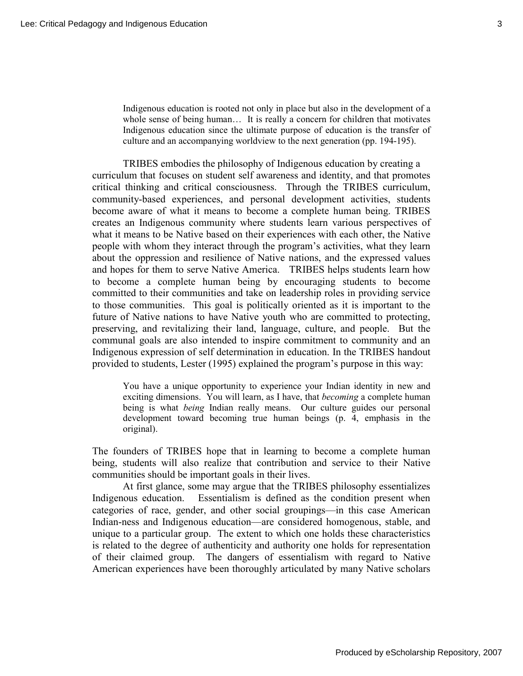Indigenous education is rooted not only in place but also in the development of a whole sense of being human... It is really a concern for children that motivates Indigenous education since the ultimate purpose of education is the transfer of culture and an accompanying worldview to the next generation (pp. 194-195).

TRIBES embodies the philosophy of Indigenous education by creating a curriculum that focuses on student self awareness and identity, and that promotes critical thinking and critical consciousness. Through the TRIBES curriculum, community-based experiences, and personal development activities, students become aware of what it means to become a complete human being. TRIBES creates an Indigenous community where students learn various perspectives of what it means to be Native based on their experiences with each other, the Native people with whom they interact through the program's activities, what they learn about the oppression and resilience of Native nations, and the expressed values and hopes for them to serve Native America. TRIBES helps students learn how to become a complete human being by encouraging students to become committed to their communities and take on leadership roles in providing service to those communities. This goal is politically oriented as it is important to the future of Native nations to have Native youth who are committed to protecting, preserving, and revitalizing their land, language, culture, and people. But the communal goals are also intended to inspire commitment to community and an Indigenous expression of self determination in education. In the TRIBES handout provided to students, Lester (1995) explained the program's purpose in this way:

You have a unique opportunity to experience your Indian identity in new and exciting dimensions. You will learn, as I have, that *becoming* a complete human being is what *being* Indian really means. Our culture guides our personal development toward becoming true human beings (p. 4, emphasis in the original).

The founders of TRIBES hope that in learning to become a complete human being, students will also realize that contribution and service to their Native communities should be important goals in their lives.

At first glance, some may argue that the TRIBES philosophy essentializes Indigenous education. Essentialism is defined as the condition present when categories of race, gender, and other social groupings—in this case American Indian-ness and Indigenous education—are considered homogenous, stable, and unique to a particular group. The extent to which one holds these characteristics is related to the degree of authenticity and authority one holds for representation of their claimed group. The dangers of essentialism with regard to Native American experiences have been thoroughly articulated by many Native scholars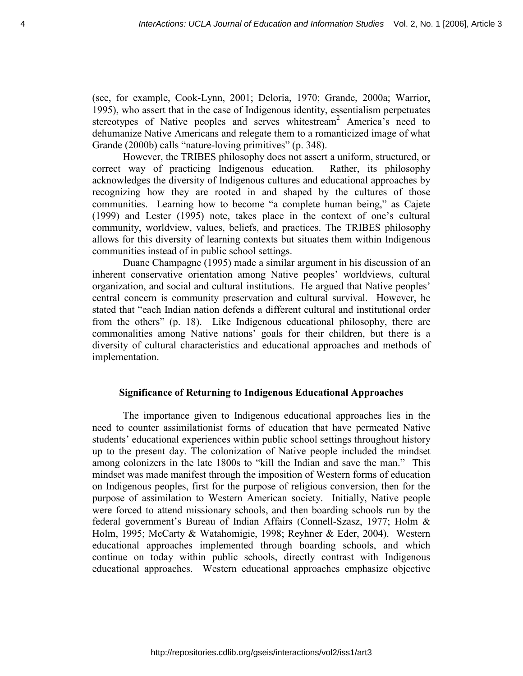(see, for example, Cook-Lynn, 2001; Deloria, 1970; Grande, 2000a; Warrior, 1995), who assert that in the case of Indigenous identity, essentialism perpetuates stereotypes of Native peoples and serves whitestream<sup>2</sup> America's need to dehumanize Native Americans and relegate them to a romanticized image of what Grande (2000b) calls "nature-loving primitives" (p. 348).

However, the TRIBES philosophy does not assert a uniform, structured, or correct way of practicing Indigenous education. Rather, its philosophy acknowledges the diversity of Indigenous cultures and educational approaches by recognizing how they are rooted in and shaped by the cultures of those communities. Learning how to become "a complete human being," as Cajete (1999) and Lester (1995) note, takes place in the context of one's cultural community, worldview, values, beliefs, and practices. The TRIBES philosophy allows for this diversity of learning contexts but situates them within Indigenous communities instead of in public school settings.

 Duane Champagne (1995) made a similar argument in his discussion of an inherent conservative orientation among Native peoples' worldviews, cultural organization, and social and cultural institutions. He argued that Native peoples' central concern is community preservation and cultural survival. However, he stated that "each Indian nation defends a different cultural and institutional order from the others" (p. 18). Like Indigenous educational philosophy, there are commonalities among Native nations' goals for their children, but there is a diversity of cultural characteristics and educational approaches and methods of implementation.

#### **Significance of Returning to Indigenous Educational Approaches**

The importance given to Indigenous educational approaches lies in the need to counter assimilationist forms of education that have permeated Native students' educational experiences within public school settings throughout history up to the present day. The colonization of Native people included the mindset among colonizers in the late 1800s to "kill the Indian and save the man." This mindset was made manifest through the imposition of Western forms of education on Indigenous peoples, first for the purpose of religious conversion, then for the purpose of assimilation to Western American society. Initially, Native people were forced to attend missionary schools, and then boarding schools run by the federal government's Bureau of Indian Affairs (Connell-Szasz, 1977; Holm & Holm, 1995; McCarty & Watahomigie, 1998; Reyhner & Eder, 2004). Western educational approaches implemented through boarding schools, and which continue on today within public schools, directly contrast with Indigenous educational approaches. Western educational approaches emphasize objective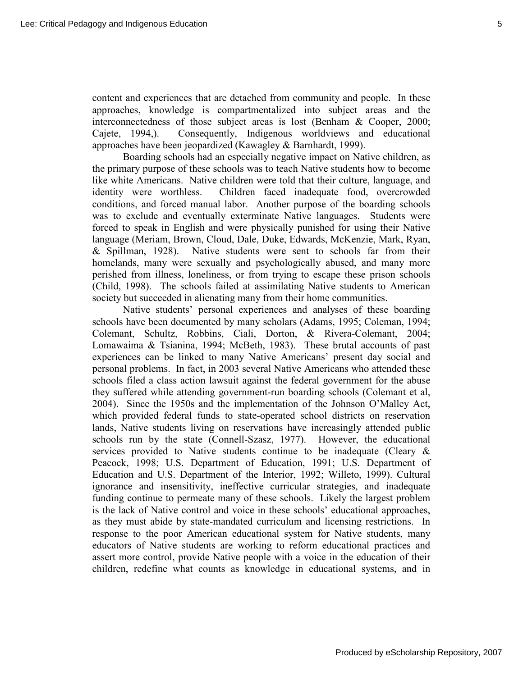content and experiences that are detached from community and people. In these approaches, knowledge is compartmentalized into subject areas and the interconnectedness of those subject areas is lost (Benham & Cooper, 2000; Cajete, 1994,). Consequently, Indigenous worldviews and educational approaches have been jeopardized (Kawagley & Barnhardt, 1999).

 Boarding schools had an especially negative impact on Native children, as the primary purpose of these schools was to teach Native students how to become like white Americans. Native children were told that their culture, language, and identity were worthless. Children faced inadequate food, overcrowded conditions, and forced manual labor. Another purpose of the boarding schools was to exclude and eventually exterminate Native languages. Students were forced to speak in English and were physically punished for using their Native language (Meriam, Brown, Cloud, Dale, Duke, Edwards, McKenzie, Mark, Ryan, & Spillman, 1928). Native students were sent to schools far from their homelands, many were sexually and psychologically abused, and many more perished from illness, loneliness, or from trying to escape these prison schools (Child, 1998). The schools failed at assimilating Native students to American society but succeeded in alienating many from their home communities.

Native students' personal experiences and analyses of these boarding schools have been documented by many scholars (Adams, 1995; Coleman, 1994; Colemant, Schultz, Robbins, Ciali, Dorton, & Rivera-Colemant, 2004; Lomawaima & Tsianina, 1994; McBeth, 1983). These brutal accounts of past experiences can be linked to many Native Americans' present day social and personal problems. In fact, in 2003 several Native Americans who attended these schools filed a class action lawsuit against the federal government for the abuse they suffered while attending government-run boarding schools (Colemant et al, 2004). Since the 1950s and the implementation of the Johnson O'Malley Act, which provided federal funds to state-operated school districts on reservation lands, Native students living on reservations have increasingly attended public schools run by the state (Connell-Szasz, 1977). However, the educational services provided to Native students continue to be inadequate (Cleary & Peacock, 1998; U.S. Department of Education, 1991; U.S. Department of Education and U.S. Department of the Interior, 1992; Willeto, 1999). Cultural ignorance and insensitivity, ineffective curricular strategies, and inadequate funding continue to permeate many of these schools. Likely the largest problem is the lack of Native control and voice in these schools' educational approaches, as they must abide by state-mandated curriculum and licensing restrictions. In response to the poor American educational system for Native students, many educators of Native students are working to reform educational practices and assert more control, provide Native people with a voice in the education of their children, redefine what counts as knowledge in educational systems, and in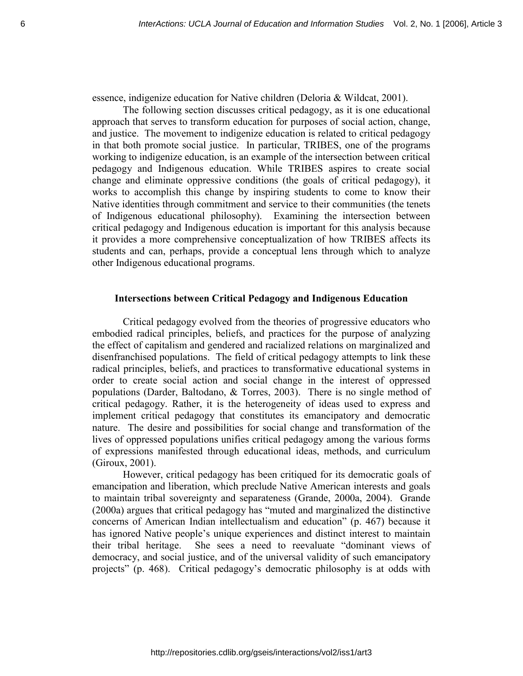essence, indigenize education for Native children (Deloria & Wildcat, 2001).

 The following section discusses critical pedagogy, as it is one educational approach that serves to transform education for purposes of social action, change, and justice. The movement to indigenize education is related to critical pedagogy in that both promote social justice. In particular, TRIBES, one of the programs working to indigenize education, is an example of the intersection between critical pedagogy and Indigenous education. While TRIBES aspires to create social change and eliminate oppressive conditions (the goals of critical pedagogy), it works to accomplish this change by inspiring students to come to know their Native identities through commitment and service to their communities (the tenets of Indigenous educational philosophy). Examining the intersection between critical pedagogy and Indigenous education is important for this analysis because it provides a more comprehensive conceptualization of how TRIBES affects its students and can, perhaps, provide a conceptual lens through which to analyze other Indigenous educational programs.

### **Intersections between Critical Pedagogy and Indigenous Education**

Critical pedagogy evolved from the theories of progressive educators who embodied radical principles, beliefs, and practices for the purpose of analyzing the effect of capitalism and gendered and racialized relations on marginalized and disenfranchised populations. The field of critical pedagogy attempts to link these radical principles, beliefs, and practices to transformative educational systems in order to create social action and social change in the interest of oppressed populations (Darder, Baltodano, & Torres, 2003). There is no single method of critical pedagogy. Rather, it is the heterogeneity of ideas used to express and implement critical pedagogy that constitutes its emancipatory and democratic nature. The desire and possibilities for social change and transformation of the lives of oppressed populations unifies critical pedagogy among the various forms of expressions manifested through educational ideas, methods, and curriculum (Giroux, 2001).

However, critical pedagogy has been critiqued for its democratic goals of emancipation and liberation, which preclude Native American interests and goals to maintain tribal sovereignty and separateness (Grande, 2000a, 2004). Grande (2000a) argues that critical pedagogy has "muted and marginalized the distinctive concerns of American Indian intellectualism and education" (p. 467) because it has ignored Native people's unique experiences and distinct interest to maintain their tribal heritage. She sees a need to reevaluate "dominant views of democracy, and social justice, and of the universal validity of such emancipatory projects" (p. 468). Critical pedagogy's democratic philosophy is at odds with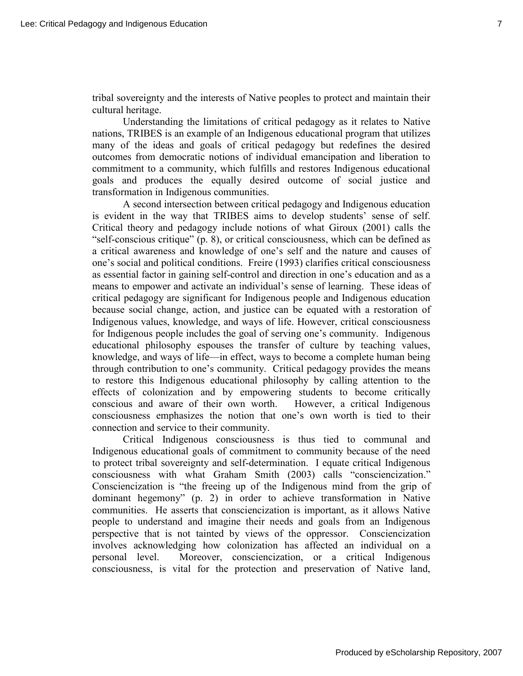tribal sovereignty and the interests of Native peoples to protect and maintain their cultural heritage.

 Understanding the limitations of critical pedagogy as it relates to Native nations, TRIBES is an example of an Indigenous educational program that utilizes many of the ideas and goals of critical pedagogy but redefines the desired outcomes from democratic notions of individual emancipation and liberation to commitment to a community, which fulfills and restores Indigenous educational goals and produces the equally desired outcome of social justice and transformation in Indigenous communities.

 A second intersection between critical pedagogy and Indigenous education is evident in the way that TRIBES aims to develop students' sense of self. Critical theory and pedagogy include notions of what Giroux (2001) calls the "self-conscious critique" (p. 8), or critical consciousness, which can be defined as a critical awareness and knowledge of one's self and the nature and causes of one's social and political conditions. Freire (1993) clarifies critical consciousness as essential factor in gaining self-control and direction in one's education and as a means to empower and activate an individual's sense of learning. These ideas of critical pedagogy are significant for Indigenous people and Indigenous education because social change, action, and justice can be equated with a restoration of Indigenous values, knowledge, and ways of life. However, critical consciousness for Indigenous people includes the goal of serving one's community. Indigenous educational philosophy espouses the transfer of culture by teaching values, knowledge, and ways of life—in effect, ways to become a complete human being through contribution to one's community. Critical pedagogy provides the means to restore this Indigenous educational philosophy by calling attention to the effects of colonization and by empowering students to become critically conscious and aware of their own worth. However, a critical Indigenous consciousness emphasizes the notion that one's own worth is tied to their connection and service to their community.

Critical Indigenous consciousness is thus tied to communal and Indigenous educational goals of commitment to community because of the need to protect tribal sovereignty and self-determination. I equate critical Indigenous consciousness with what Graham Smith (2003) calls "consciencization." Consciencization is "the freeing up of the Indigenous mind from the grip of dominant hegemony" (p. 2) in order to achieve transformation in Native communities. He asserts that consciencization is important, as it allows Native people to understand and imagine their needs and goals from an Indigenous perspective that is not tainted by views of the oppressor. Consciencization involves acknowledging how colonization has affected an individual on a personal level. Moreover, consciencization, or a critical Indigenous consciousness, is vital for the protection and preservation of Native land,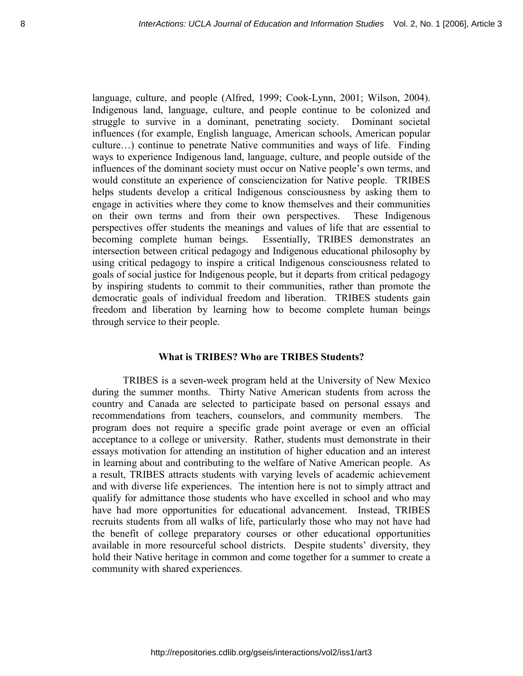language, culture, and people (Alfred, 1999; Cook-Lynn, 2001; Wilson, 2004). Indigenous land, language, culture, and people continue to be colonized and struggle to survive in a dominant, penetrating society. Dominant societal influences (for example, English language, American schools, American popular culture…) continue to penetrate Native communities and ways of life. Finding ways to experience Indigenous land, language, culture, and people outside of the influences of the dominant society must occur on Native people's own terms, and would constitute an experience of consciencization for Native people. TRIBES helps students develop a critical Indigenous consciousness by asking them to engage in activities where they come to know themselves and their communities on their own terms and from their own perspectives. These Indigenous perspectives offer students the meanings and values of life that are essential to becoming complete human beings. Essentially, TRIBES demonstrates an intersection between critical pedagogy and Indigenous educational philosophy by using critical pedagogy to inspire a critical Indigenous consciousness related to goals of social justice for Indigenous people, but it departs from critical pedagogy by inspiring students to commit to their communities, rather than promote the democratic goals of individual freedom and liberation. TRIBES students gain freedom and liberation by learning how to become complete human beings through service to their people.

# **What is TRIBES? Who are TRIBES Students?**

TRIBES is a seven-week program held at the University of New Mexico during the summer months. Thirty Native American students from across the country and Canada are selected to participate based on personal essays and recommendations from teachers, counselors, and community members. The program does not require a specific grade point average or even an official acceptance to a college or university. Rather, students must demonstrate in their essays motivation for attending an institution of higher education and an interest in learning about and contributing to the welfare of Native American people. As a result, TRIBES attracts students with varying levels of academic achievement and with diverse life experiences. The intention here is not to simply attract and qualify for admittance those students who have excelled in school and who may have had more opportunities for educational advancement. Instead, TRIBES recruits students from all walks of life, particularly those who may not have had the benefit of college preparatory courses or other educational opportunities available in more resourceful school districts. Despite students' diversity, they hold their Native heritage in common and come together for a summer to create a community with shared experiences.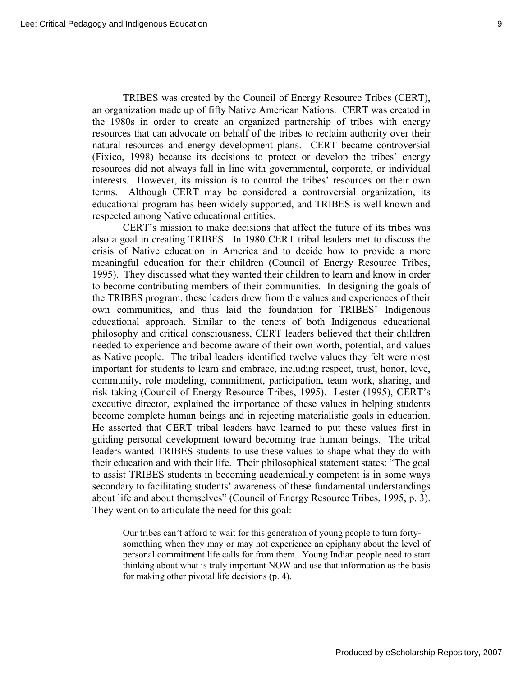TRIBES was created by the Council of Energy Resource Tribes (CERT), an organization made up of fifty Native American Nations. CERT was created in the 1980s in order to create an organized partnership of tribes with energy resources that can advocate on behalf of the tribes to reclaim authority over their natural resources and energy development plans. CERT became controversial (Fixico, 1998) because its decisions to protect or develop the tribes' energy resources did not always fall in line with governmental, corporate, or individual interests. However, its mission is to control the tribes' resources on their own terms. Although CERT may be considered a controversial organization, its educational program has been widely supported, and TRIBES is well known and respected among Native educational entities.

 CERT's mission to make decisions that affect the future of its tribes was also a goal in creating TRIBES. In 1980 CERT tribal leaders met to discuss the crisis of Native education in America and to decide how to provide a more meaningful education for their children (Council of Energy Resource Tribes, 1995). They discussed what they wanted their children to learn and know in order to become contributing members of their communities. In designing the goals of the TRIBES program, these leaders drew from the values and experiences of their own communities, and thus laid the foundation for TRIBES' Indigenous educational approach. Similar to the tenets of both Indigenous educational philosophy and critical consciousness, CERT leaders believed that their children needed to experience and become aware of their own worth, potential, and values as Native people. The tribal leaders identified twelve values they felt were most important for students to learn and embrace, including respect, trust, honor, love, community, role modeling, commitment, participation, team work, sharing, and risk taking (Council of Energy Resource Tribes, 1995). Lester (1995), CERT's executive director, explained the importance of these values in helping students become complete human beings and in rejecting materialistic goals in education. He asserted that CERT tribal leaders have learned to put these values first in guiding personal development toward becoming true human beings. The tribal leaders wanted TRIBES students to use these values to shape what they do with their education and with their life. Their philosophical statement states: "The goal to assist TRIBES students in becoming academically competent is in some ways secondary to facilitating students' awareness of these fundamental understandings about life and about themselves" (Council of Energy Resource Tribes, 1995, p. 3). They went on to articulate the need for this goal:

Our tribes can't afford to wait for this generation of young people to turn fortysomething when they may or may not experience an epiphany about the level of personal commitment life calls for from them. Young Indian people need to start thinking about what is truly important NOW and use that information as the basis for making other pivotal life decisions (p. 4).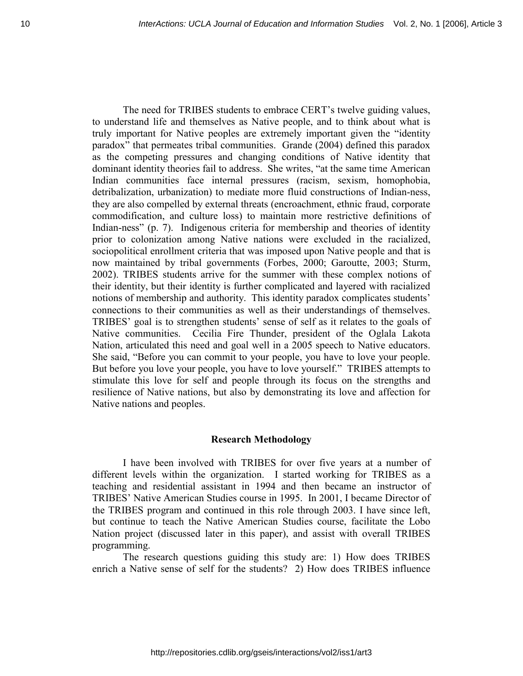The need for TRIBES students to embrace CERT's twelve guiding values, to understand life and themselves as Native people, and to think about what is truly important for Native peoples are extremely important given the "identity paradox" that permeates tribal communities. Grande (2004) defined this paradox as the competing pressures and changing conditions of Native identity that dominant identity theories fail to address. She writes, "at the same time American Indian communities face internal pressures (racism, sexism, homophobia, detribalization, urbanization) to mediate more fluid constructions of Indian-ness, they are also compelled by external threats (encroachment, ethnic fraud, corporate commodification, and culture loss) to maintain more restrictive definitions of Indian-ness" (p. 7). Indigenous criteria for membership and theories of identity prior to colonization among Native nations were excluded in the racialized, sociopolitical enrollment criteria that was imposed upon Native people and that is now maintained by tribal governments (Forbes, 2000; Garoutte, 2003; Sturm, 2002). TRIBES students arrive for the summer with these complex notions of their identity, but their identity is further complicated and layered with racialized notions of membership and authority. This identity paradox complicates students' connections to their communities as well as their understandings of themselves. TRIBES' goal is to strengthen students' sense of self as it relates to the goals of Native communities. Cecilia Fire Thunder, president of the Oglala Lakota Nation, articulated this need and goal well in a 2005 speech to Native educators. She said, "Before you can commit to your people, you have to love your people. But before you love your people, you have to love yourself." TRIBES attempts to stimulate this love for self and people through its focus on the strengths and resilience of Native nations, but also by demonstrating its love and affection for Native nations and peoples.

## **Research Methodology**

I have been involved with TRIBES for over five years at a number of different levels within the organization. I started working for TRIBES as a teaching and residential assistant in 1994 and then became an instructor of TRIBES' Native American Studies course in 1995. In 2001, I became Director of the TRIBES program and continued in this role through 2003. I have since left, but continue to teach the Native American Studies course, facilitate the Lobo Nation project (discussed later in this paper), and assist with overall TRIBES programming.

 The research questions guiding this study are: 1) How does TRIBES enrich a Native sense of self for the students? 2) How does TRIBES influence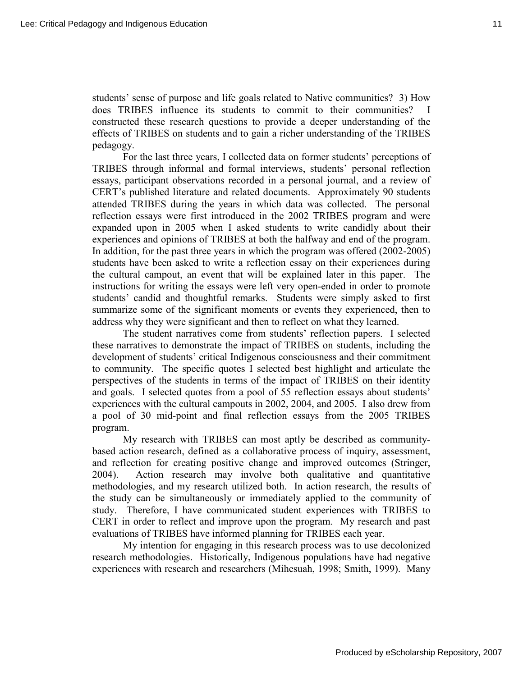students' sense of purpose and life goals related to Native communities? 3) How does TRIBES influence its students to commit to their communities? constructed these research questions to provide a deeper understanding of the effects of TRIBES on students and to gain a richer understanding of the TRIBES pedagogy.

For the last three years, I collected data on former students' perceptions of TRIBES through informal and formal interviews, students' personal reflection essays, participant observations recorded in a personal journal, and a review of CERT's published literature and related documents. Approximately 90 students attended TRIBES during the years in which data was collected. The personal reflection essays were first introduced in the 2002 TRIBES program and were expanded upon in 2005 when I asked students to write candidly about their experiences and opinions of TRIBES at both the halfway and end of the program. In addition, for the past three years in which the program was offered (2002-2005) students have been asked to write a reflection essay on their experiences during the cultural campout, an event that will be explained later in this paper. The instructions for writing the essays were left very open-ended in order to promote students' candid and thoughtful remarks. Students were simply asked to first summarize some of the significant moments or events they experienced, then to address why they were significant and then to reflect on what they learned.

 The student narratives come from students' reflection papers. I selected these narratives to demonstrate the impact of TRIBES on students, including the development of students' critical Indigenous consciousness and their commitment to community. The specific quotes I selected best highlight and articulate the perspectives of the students in terms of the impact of TRIBES on their identity and goals. I selected quotes from a pool of 55 reflection essays about students' experiences with the cultural campouts in 2002, 2004, and 2005. I also drew from a pool of 30 mid-point and final reflection essays from the 2005 TRIBES program.

My research with TRIBES can most aptly be described as communitybased action research, defined as a collaborative process of inquiry, assessment, and reflection for creating positive change and improved outcomes (Stringer, 2004). Action research may involve both qualitative and quantitative methodologies, and my research utilized both. In action research, the results of the study can be simultaneously or immediately applied to the community of study. Therefore, I have communicated student experiences with TRIBES to CERT in order to reflect and improve upon the program. My research and past evaluations of TRIBES have informed planning for TRIBES each year.

 My intention for engaging in this research process was to use decolonized research methodologies. Historically, Indigenous populations have had negative experiences with research and researchers (Mihesuah, 1998; Smith, 1999). Many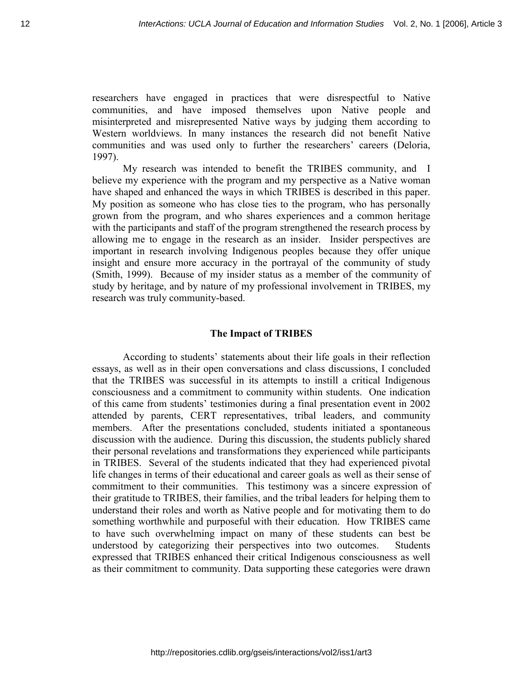researchers have engaged in practices that were disrespectful to Native communities, and have imposed themselves upon Native people and misinterpreted and misrepresented Native ways by judging them according to Western worldviews. In many instances the research did not benefit Native communities and was used only to further the researchers' careers (Deloria, 1997).

 My research was intended to benefit the TRIBES community, and I believe my experience with the program and my perspective as a Native woman have shaped and enhanced the ways in which TRIBES is described in this paper. My position as someone who has close ties to the program, who has personally grown from the program, and who shares experiences and a common heritage with the participants and staff of the program strengthened the research process by allowing me to engage in the research as an insider. Insider perspectives are important in research involving Indigenous peoples because they offer unique insight and ensure more accuracy in the portrayal of the community of study (Smith, 1999). Because of my insider status as a member of the community of study by heritage, and by nature of my professional involvement in TRIBES, my research was truly community-based.

# **The Impact of TRIBES**

According to students' statements about their life goals in their reflection essays, as well as in their open conversations and class discussions, I concluded that the TRIBES was successful in its attempts to instill a critical Indigenous consciousness and a commitment to community within students. One indication of this came from students' testimonies during a final presentation event in 2002 attended by parents, CERT representatives, tribal leaders, and community members. After the presentations concluded, students initiated a spontaneous discussion with the audience. During this discussion, the students publicly shared their personal revelations and transformations they experienced while participants in TRIBES. Several of the students indicated that they had experienced pivotal life changes in terms of their educational and career goals as well as their sense of commitment to their communities. This testimony was a sincere expression of their gratitude to TRIBES, their families, and the tribal leaders for helping them to understand their roles and worth as Native people and for motivating them to do something worthwhile and purposeful with their education. How TRIBES came to have such overwhelming impact on many of these students can best be understood by categorizing their perspectives into two outcomes. Students expressed that TRIBES enhanced their critical Indigenous consciousness as well as their commitment to community. Data supporting these categories were drawn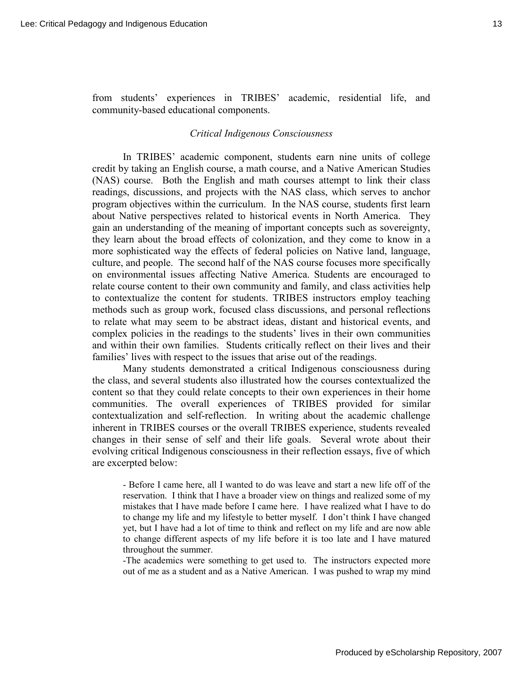from students' experiences in TRIBES' academic, residential life, and community-based educational components.

#### *Critical Indigenous Consciousness*

In TRIBES' academic component, students earn nine units of college credit by taking an English course, a math course, and a Native American Studies (NAS) course. Both the English and math courses attempt to link their class readings, discussions, and projects with the NAS class, which serves to anchor program objectives within the curriculum. In the NAS course, students first learn about Native perspectives related to historical events in North America. They gain an understanding of the meaning of important concepts such as sovereignty, they learn about the broad effects of colonization, and they come to know in a more sophisticated way the effects of federal policies on Native land, language, culture, and people. The second half of the NAS course focuses more specifically on environmental issues affecting Native America. Students are encouraged to relate course content to their own community and family, and class activities help to contextualize the content for students. TRIBES instructors employ teaching methods such as group work, focused class discussions, and personal reflections to relate what may seem to be abstract ideas, distant and historical events, and complex policies in the readings to the students' lives in their own communities and within their own families. Students critically reflect on their lives and their families' lives with respect to the issues that arise out of the readings.

 Many students demonstrated a critical Indigenous consciousness during the class, and several students also illustrated how the courses contextualized the content so that they could relate concepts to their own experiences in their home communities. The overall experiences of TRIBES provided for similar contextualization and self-reflection. In writing about the academic challenge inherent in TRIBES courses or the overall TRIBES experience, students revealed changes in their sense of self and their life goals. Several wrote about their evolving critical Indigenous consciousness in their reflection essays, five of which are excerpted below:

- Before I came here, all I wanted to do was leave and start a new life off of the reservation. I think that I have a broader view on things and realized some of my mistakes that I have made before I came here. I have realized what I have to do to change my life and my lifestyle to better myself. I don't think I have changed yet, but I have had a lot of time to think and reflect on my life and are now able to change different aspects of my life before it is too late and I have matured throughout the summer.

-The academics were something to get used to. The instructors expected more out of me as a student and as a Native American. I was pushed to wrap my mind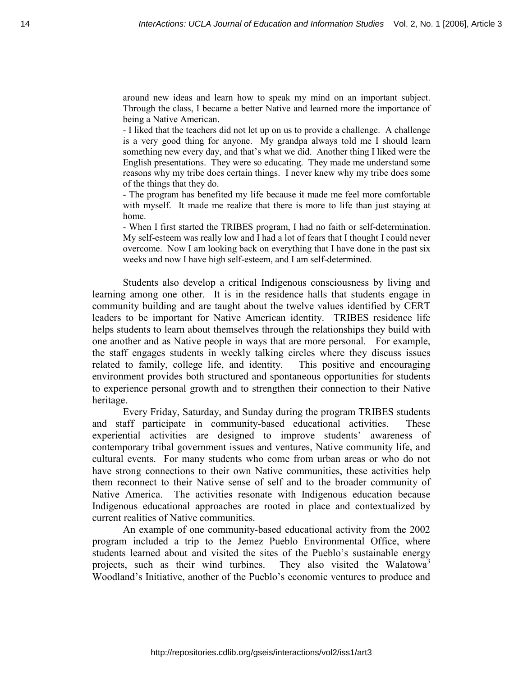around new ideas and learn how to speak my mind on an important subject. Through the class, I became a better Native and learned more the importance of being a Native American.

- I liked that the teachers did not let up on us to provide a challenge. A challenge is a very good thing for anyone. My grandpa always told me I should learn something new every day, and that's what we did. Another thing I liked were the English presentations. They were so educating. They made me understand some reasons why my tribe does certain things. I never knew why my tribe does some of the things that they do.

- The program has benefited my life because it made me feel more comfortable with myself. It made me realize that there is more to life than just staying at home.

- When I first started the TRIBES program, I had no faith or self-determination. My self-esteem was really low and I had a lot of fears that I thought I could never overcome. Now I am looking back on everything that I have done in the past six weeks and now I have high self-esteem, and I am self-determined.

Students also develop a critical Indigenous consciousness by living and learning among one other. It is in the residence halls that students engage in community building and are taught about the twelve values identified by CERT leaders to be important for Native American identity. TRIBES residence life helps students to learn about themselves through the relationships they build with one another and as Native people in ways that are more personal. For example, the staff engages students in weekly talking circles where they discuss issues related to family, college life, and identity. This positive and encouraging environment provides both structured and spontaneous opportunities for students to experience personal growth and to strengthen their connection to their Native heritage.

 Every Friday, Saturday, and Sunday during the program TRIBES students and staff participate in community-based educational activities. These experiential activities are designed to improve students' awareness of contemporary tribal government issues and ventures, Native community life, and cultural events. For many students who come from urban areas or who do not have strong connections to their own Native communities, these activities help them reconnect to their Native sense of self and to the broader community of Native America. The activities resonate with Indigenous education because Indigenous educational approaches are rooted in place and contextualized by current realities of Native communities.

 An example of one community-based educational activity from the 2002 program included a trip to the Jemez Pueblo Environmental Office, where students learned about and visited the sites of the Pueblo's sustainable energy projects, such as their wind turbines. They also visited the Walatowa<sup>3</sup> Woodland's Initiative, another of the Pueblo's economic ventures to produce and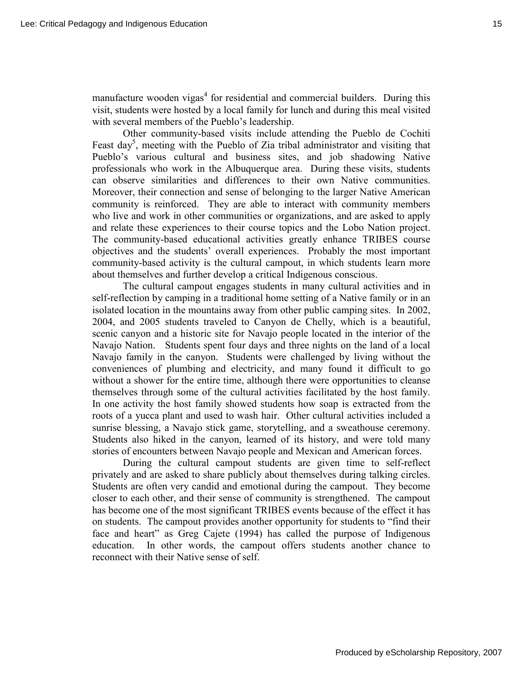manufacture wooden vigas<sup>4</sup> for residential and commercial builders. During this visit, students were hosted by a local family for lunch and during this meal visited with several members of the Pueblo's leadership.

 Other community-based visits include attending the Pueblo de Cochiti Feast day<sup>5</sup>, meeting with the Pueblo of Zia tribal administrator and visiting that Pueblo's various cultural and business sites, and job shadowing Native professionals who work in the Albuquerque area. During these visits, students can observe similarities and differences to their own Native communities. Moreover, their connection and sense of belonging to the larger Native American community is reinforced. They are able to interact with community members who live and work in other communities or organizations, and are asked to apply and relate these experiences to their course topics and the Lobo Nation project. The community-based educational activities greatly enhance TRIBES course objectives and the students' overall experiences. Probably the most important community-based activity is the cultural campout, in which students learn more about themselves and further develop a critical Indigenous conscious.

 The cultural campout engages students in many cultural activities and in self-reflection by camping in a traditional home setting of a Native family or in an isolated location in the mountains away from other public camping sites. In 2002, 2004, and 2005 students traveled to Canyon de Chelly, which is a beautiful, scenic canyon and a historic site for Navajo people located in the interior of the Navajo Nation. Students spent four days and three nights on the land of a local Navajo family in the canyon. Students were challenged by living without the conveniences of plumbing and electricity, and many found it difficult to go without a shower for the entire time, although there were opportunities to cleanse themselves through some of the cultural activities facilitated by the host family. In one activity the host family showed students how soap is extracted from the roots of a yucca plant and used to wash hair. Other cultural activities included a sunrise blessing, a Navajo stick game, storytelling, and a sweathouse ceremony. Students also hiked in the canyon, learned of its history, and were told many stories of encounters between Navajo people and Mexican and American forces.

 During the cultural campout students are given time to self-reflect privately and are asked to share publicly about themselves during talking circles. Students are often very candid and emotional during the campout. They become closer to each other, and their sense of community is strengthened. The campout has become one of the most significant TRIBES events because of the effect it has on students. The campout provides another opportunity for students to "find their face and heart" as Greg Cajete (1994) has called the purpose of Indigenous education. In other words, the campout offers students another chance to reconnect with their Native sense of self.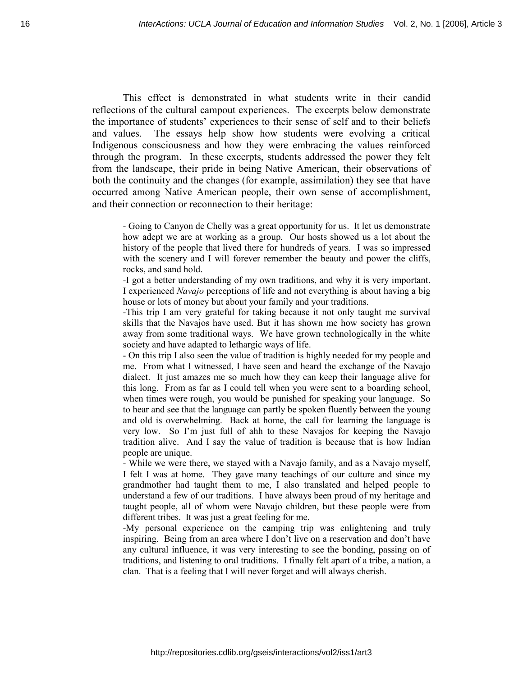This effect is demonstrated in what students write in their candid reflections of the cultural campout experiences. The excerpts below demonstrate the importance of students' experiences to their sense of self and to their beliefs and values. The essays help show how students were evolving a critical Indigenous consciousness and how they were embracing the values reinforced through the program. In these excerpts, students addressed the power they felt from the landscape, their pride in being Native American, their observations of both the continuity and the changes (for example, assimilation) they see that have occurred among Native American people, their own sense of accomplishment, and their connection or reconnection to their heritage:

- Going to Canyon de Chelly was a great opportunity for us. It let us demonstrate how adept we are at working as a group. Our hosts showed us a lot about the history of the people that lived there for hundreds of years. I was so impressed with the scenery and I will forever remember the beauty and power the cliffs, rocks, and sand hold.

-I got a better understanding of my own traditions, and why it is very important. I experienced *Navajo* perceptions of life and not everything is about having a big house or lots of money but about your family and your traditions.

-This trip I am very grateful for taking because it not only taught me survival skills that the Navajos have used. But it has shown me how society has grown away from some traditional ways. We have grown technologically in the white society and have adapted to lethargic ways of life.

- On this trip I also seen the value of tradition is highly needed for my people and me. From what I witnessed, I have seen and heard the exchange of the Navajo dialect. It just amazes me so much how they can keep their language alive for this long. From as far as I could tell when you were sent to a boarding school, when times were rough, you would be punished for speaking your language. So to hear and see that the language can partly be spoken fluently between the young and old is overwhelming. Back at home, the call for learning the language is very low. So I'm just full of ahh to these Navajos for keeping the Navajo tradition alive. And I say the value of tradition is because that is how Indian people are unique.

- While we were there, we stayed with a Navajo family, and as a Navajo myself, I felt I was at home. They gave many teachings of our culture and since my grandmother had taught them to me, I also translated and helped people to understand a few of our traditions. I have always been proud of my heritage and taught people, all of whom were Navajo children, but these people were from different tribes. It was just a great feeling for me.

-My personal experience on the camping trip was enlightening and truly inspiring. Being from an area where I don't live on a reservation and don't have any cultural influence, it was very interesting to see the bonding, passing on of traditions, and listening to oral traditions. I finally felt apart of a tribe, a nation, a clan. That is a feeling that I will never forget and will always cherish.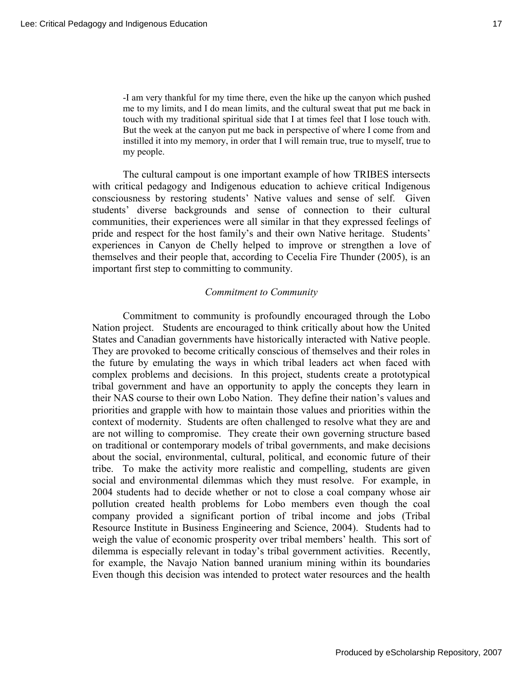-I am very thankful for my time there, even the hike up the canyon which pushed me to my limits, and I do mean limits, and the cultural sweat that put me back in touch with my traditional spiritual side that I at times feel that I lose touch with. But the week at the canyon put me back in perspective of where I come from and instilled it into my memory, in order that I will remain true, true to myself, true to my people.

The cultural campout is one important example of how TRIBES intersects with critical pedagogy and Indigenous education to achieve critical Indigenous consciousness by restoring students' Native values and sense of self. Given students' diverse backgrounds and sense of connection to their cultural communities, their experiences were all similar in that they expressed feelings of pride and respect for the host family's and their own Native heritage. Students' experiences in Canyon de Chelly helped to improve or strengthen a love of themselves and their people that, according to Cecelia Fire Thunder (2005), is an important first step to committing to community.

### *Commitment to Community*

Commitment to community is profoundly encouraged through the Lobo Nation project. Students are encouraged to think critically about how the United States and Canadian governments have historically interacted with Native people. They are provoked to become critically conscious of themselves and their roles in the future by emulating the ways in which tribal leaders act when faced with complex problems and decisions. In this project, students create a prototypical tribal government and have an opportunity to apply the concepts they learn in their NAS course to their own Lobo Nation. They define their nation's values and priorities and grapple with how to maintain those values and priorities within the context of modernity. Students are often challenged to resolve what they are and are not willing to compromise. They create their own governing structure based on traditional or contemporary models of tribal governments, and make decisions about the social, environmental, cultural, political, and economic future of their tribe. To make the activity more realistic and compelling, students are given social and environmental dilemmas which they must resolve. For example, in 2004 students had to decide whether or not to close a coal company whose air pollution created health problems for Lobo members even though the coal company provided a significant portion of tribal income and jobs (Tribal Resource Institute in Business Engineering and Science, 2004). Students had to weigh the value of economic prosperity over tribal members' health. This sort of dilemma is especially relevant in today's tribal government activities. Recently, for example, the Navajo Nation banned uranium mining within its boundaries Even though this decision was intended to protect water resources and the health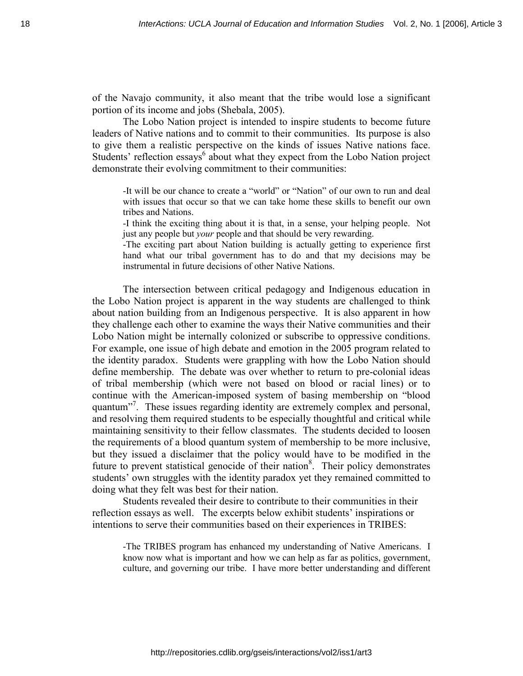of the Navajo community, it also meant that the tribe would lose a significant portion of its income and jobs (Shebala, 2005).

The Lobo Nation project is intended to inspire students to become future leaders of Native nations and to commit to their communities. Its purpose is also to give them a realistic perspective on the kinds of issues Native nations face. Students' reflection essays $6$  about what they expect from the Lobo Nation project demonstrate their evolving commitment to their communities:

-It will be our chance to create a "world" or "Nation" of our own to run and deal with issues that occur so that we can take home these skills to benefit our own tribes and Nations.

-I think the exciting thing about it is that, in a sense, your helping people. Not just any people but *your* people and that should be very rewarding.

-The exciting part about Nation building is actually getting to experience first hand what our tribal government has to do and that my decisions may be instrumental in future decisions of other Native Nations.

The intersection between critical pedagogy and Indigenous education in the Lobo Nation project is apparent in the way students are challenged to think about nation building from an Indigenous perspective. It is also apparent in how they challenge each other to examine the ways their Native communities and their Lobo Nation might be internally colonized or subscribe to oppressive conditions. For example, one issue of high debate and emotion in the 2005 program related to the identity paradox. Students were grappling with how the Lobo Nation should define membership. The debate was over whether to return to pre-colonial ideas of tribal membership (which were not based on blood or racial lines) or to continue with the American-imposed system of basing membership on "blood quantum"<sup>7</sup>. These issues regarding identity are extremely complex and personal, and resolving them required students to be especially thoughtful and critical while maintaining sensitivity to their fellow classmates. The students decided to loosen the requirements of a blood quantum system of membership to be more inclusive, but they issued a disclaimer that the policy would have to be modified in the future to prevent statistical genocide of their nation<sup>8</sup>. Their policy demonstrates students' own struggles with the identity paradox yet they remained committed to doing what they felt was best for their nation.

 Students revealed their desire to contribute to their communities in their reflection essays as well. The excerpts below exhibit students' inspirations or intentions to serve their communities based on their experiences in TRIBES:

-The TRIBES program has enhanced my understanding of Native Americans. I know now what is important and how we can help as far as politics, government, culture, and governing our tribe. I have more better understanding and different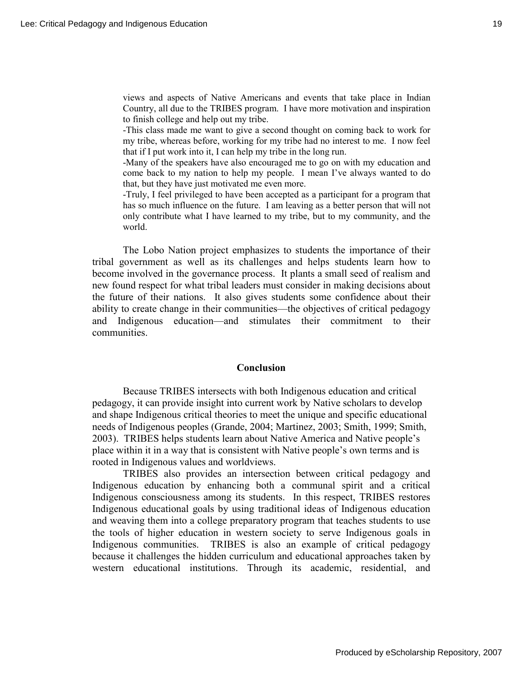views and aspects of Native Americans and events that take place in Indian Country, all due to the TRIBES program. I have more motivation and inspiration to finish college and help out my tribe.

-This class made me want to give a second thought on coming back to work for my tribe, whereas before, working for my tribe had no interest to me. I now feel that if I put work into it, I can help my tribe in the long run.

-Many of the speakers have also encouraged me to go on with my education and come back to my nation to help my people. I mean I've always wanted to do that, but they have just motivated me even more.

-Truly, I feel privileged to have been accepted as a participant for a program that has so much influence on the future. I am leaving as a better person that will not only contribute what I have learned to my tribe, but to my community, and the world.

The Lobo Nation project emphasizes to students the importance of their tribal government as well as its challenges and helps students learn how to become involved in the governance process. It plants a small seed of realism and new found respect for what tribal leaders must consider in making decisions about the future of their nations. It also gives students some confidence about their ability to create change in their communities—the objectives of critical pedagogy and Indigenous education—and stimulates their commitment to their communities.

#### **Conclusion**

Because TRIBES intersects with both Indigenous education and critical pedagogy, it can provide insight into current work by Native scholars to develop and shape Indigenous critical theories to meet the unique and specific educational needs of Indigenous peoples (Grande, 2004; Martinez, 2003; Smith, 1999; Smith, 2003). TRIBES helps students learn about Native America and Native people's place within it in a way that is consistent with Native people's own terms and is rooted in Indigenous values and worldviews.

TRIBES also provides an intersection between critical pedagogy and Indigenous education by enhancing both a communal spirit and a critical Indigenous consciousness among its students. In this respect, TRIBES restores Indigenous educational goals by using traditional ideas of Indigenous education and weaving them into a college preparatory program that teaches students to use the tools of higher education in western society to serve Indigenous goals in Indigenous communities. TRIBES is also an example of critical pedagogy because it challenges the hidden curriculum and educational approaches taken by western educational institutions. Through its academic, residential, and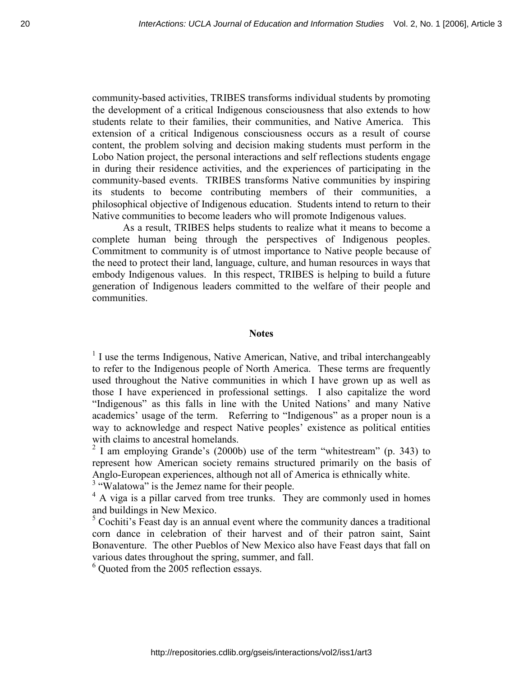community-based activities, TRIBES transforms individual students by promoting the development of a critical Indigenous consciousness that also extends to how students relate to their families, their communities, and Native America. This extension of a critical Indigenous consciousness occurs as a result of course content, the problem solving and decision making students must perform in the Lobo Nation project, the personal interactions and self reflections students engage in during their residence activities, and the experiences of participating in the community-based events. TRIBES transforms Native communities by inspiring its students to become contributing members of their communities, a philosophical objective of Indigenous education. Students intend to return to their Native communities to become leaders who will promote Indigenous values.

As a result, TRIBES helps students to realize what it means to become a complete human being through the perspectives of Indigenous peoples. Commitment to community is of utmost importance to Native people because of the need to protect their land, language, culture, and human resources in ways that embody Indigenous values. In this respect, TRIBES is helping to build a future generation of Indigenous leaders committed to the welfare of their people and communities.

## **Notes**

 $<sup>1</sup>$  I use the terms Indigenous, Native American, Native, and tribal interchangeably</sup> to refer to the Indigenous people of North America. These terms are frequently used throughout the Native communities in which I have grown up as well as those I have experienced in professional settings. I also capitalize the word "Indigenous" as this falls in line with the United Nations' and many Native academics' usage of the term. Referring to "Indigenous" as a proper noun is a way to acknowledge and respect Native peoples' existence as political entities with claims to ancestral homelands.

 $2$  I am employing Grande's (2000b) use of the term "whitestream" (p. 343) to represent how American society remains structured primarily on the basis of Anglo-European experiences, although not all of America is ethnically white.

<sup>3</sup> "Walatowa" is the Jemez name for their people.

 $4$  A viga is a pillar carved from tree trunks. They are commonly used in homes and buildings in New Mexico.

 $5$  Cochiti's Feast day is an annual event where the community dances a traditional corn dance in celebration of their harvest and of their patron saint, Saint Bonaventure. The other Pueblos of New Mexico also have Feast days that fall on various dates throughout the spring, summer, and fall.

<sup>6</sup> Quoted from the 2005 reflection essays.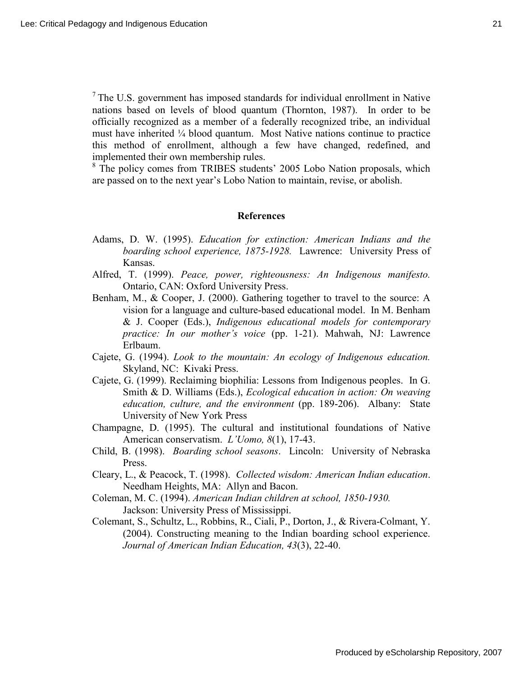$<sup>7</sup>$  The U.S. government has imposed standards for individual enrollment in Native</sup> nations based on levels of blood quantum (Thornton, 1987). In order to be officially recognized as a member of a federally recognized tribe, an individual must have inherited ¼ blood quantum. Most Native nations continue to practice this method of enrollment, although a few have changed, redefined, and implemented their own membership rules.

<sup>8</sup> The policy comes from TRIBES students' 2005 Lobo Nation proposals, which are passed on to the next year's Lobo Nation to maintain, revise, or abolish.

#### **References**

- Adams, D. W. (1995). *Education for extinction: American Indians and the boarding school experience, 1875-1928.* Lawrence: University Press of Kansas.
- Alfred, T. (1999). *Peace, power, righteousness: An Indigenous manifesto.* Ontario, CAN: Oxford University Press.
- Benham, M., & Cooper, J. (2000). Gathering together to travel to the source: A vision for a language and culture-based educational model. In M. Benham & J. Cooper (Eds.), *Indigenous educational models for contemporary practice: In our mother's voice* (pp. 1-21). Mahwah, NJ: Lawrence Erlbaum.
- Cajete, G. (1994). *Look to the mountain: An ecology of Indigenous education.* Skyland, NC: Kivaki Press.
- Cajete, G. (1999). Reclaiming biophilia: Lessons from Indigenous peoples. In G. Smith & D. Williams (Eds.), *Ecological education in action: On weaving education, culture, and the environment* (pp. 189-206). Albany: State University of New York Press
- Champagne, D. (1995). The cultural and institutional foundations of Native American conservatism. *L'Uomo, 8*(1), 17-43.
- Child, B. (1998). *Boarding school seasons*. Lincoln: University of Nebraska Press.
- Cleary, L., & Peacock, T. (1998). *Collected wisdom: American Indian education*. Needham Heights, MA: Allyn and Bacon.
- Coleman, M. C. (1994). *American Indian children at school, 1850-1930.*  Jackson: University Press of Mississippi.
- Colemant, S., Schultz, L., Robbins, R., Ciali, P., Dorton, J., & Rivera-Colmant, Y. (2004). Constructing meaning to the Indian boarding school experience. *Journal of American Indian Education, 43*(3), 22-40.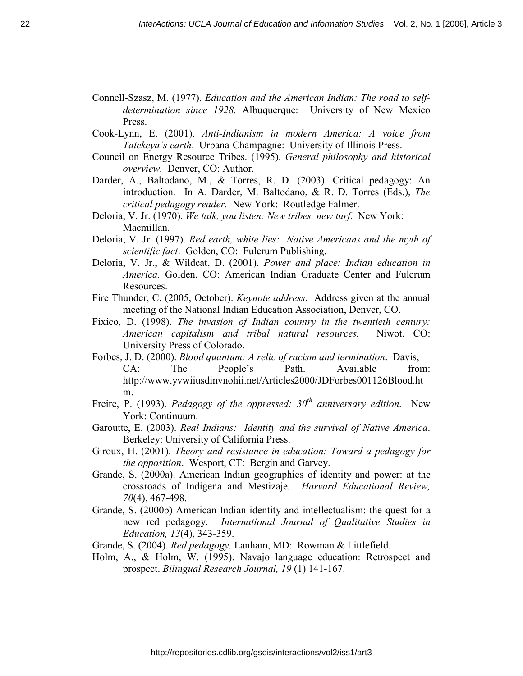- Connell-Szasz, M. (1977). *Education and the American Indian: The road to self determination since 1928.* Albuquerque: University of New Mexico Press.
- Cook-Lynn, E. (2001). *Anti-Indianism in modern America: A voice from Tatekeya's earth*. Urbana-Champagne: University of Illinois Press.
- Council on Energy Resource Tribes. (1995). *General philosophy and historical overview.* Denver, CO: Author.
- Darder, A., Baltodano, M., & Torres, R. D. (2003). Critical pedagogy: An introduction. In A. Darder, M. Baltodano, & R. D. Torres (Eds.), *The critical pedagogy reader.* New York: Routledge Falmer.
- Deloria, V. Jr. (1970). *We talk, you listen: New tribes, new turf*. New York: Macmillan.
- Deloria, V. Jr. (1997). *Red earth, white lies: Native Americans and the myth of scientific fact*. Golden, CO: Fulcrum Publishing.
- Deloria, V. Jr., & Wildcat, D. (2001). *Power and place: Indian education in America.* Golden, CO: American Indian Graduate Center and Fulcrum Resources.
- Fire Thunder, C. (2005, October). *Keynote address*. Address given at the annual meeting of the National Indian Education Association, Denver, CO.
- Fixico, D. (1998). *The invasion of Indian country in the twentieth century: American capitalism and tribal natural resources.* Niwot, CO: University Press of Colorado.
- Forbes, J. D. (2000). *Blood quantum: A relic of racism and termination*. Davis, CA: The People's Path. Available from: http://www.yvwiiusdinvnohii.net/Articles2000/JDForbes001126Blood.ht m.
- Freire, P. (1993). *Pedagogy of the oppressed: 30th anniversary edition*. New York: Continuum.
- Garoutte, E. (2003). *Real Indians: Identity and the survival of Native America*. Berkeley: University of California Press.
- Giroux, H. (2001). *Theory and resistance in education: Toward a pedagogy for the opposition*. Wesport, CT: Bergin and Garvey.
- Grande, S. (2000a). American Indian geographies of identity and power: at the crossroads of Indigena and Mestizaje*. Harvard Educational Review, 70*(4), 467-498.
- Grande, S. (2000b) American Indian identity and intellectualism: the quest for a new red pedagogy. *International Journal of Qualitative Studies in Education, 13*(4), 343-359.
- Grande, S. (2004). *Red pedagogy.* Lanham, MD: Rowman & Littlefield.
- Holm, A., & Holm, W. (1995). Navajo language education: Retrospect and prospect. *Bilingual Research Journal, 19* (1) 141-167.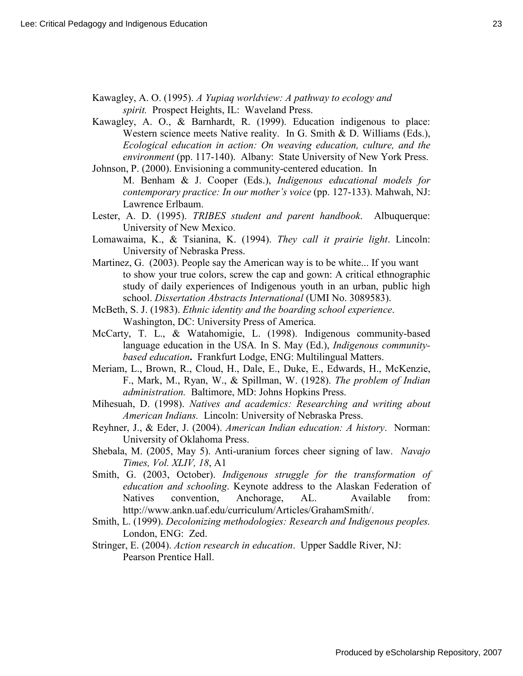Kawagley, A. O. (1995). *A Yupiaq worldview: A pathway to ecology and spirit.* Prospect Heights, IL: Waveland Press.

Kawagley, A. O., & Barnhardt, R. (1999). Education indigenous to place: Western science meets Native reality. In G. Smith & D. Williams (Eds.), *Ecological education in action: On weaving education, culture, and the environment* (pp. 117-140). Albany: State University of New York Press.

Johnson, P. (2000). Envisioning a community-centered education. In M. Benham & J. Cooper (Eds.), *Indigenous educational models for contemporary practice: In our mother's voice* (pp. 127-133). Mahwah, NJ: Lawrence Erlbaum.

- Lester, A. D. (1995). *TRIBES student and parent handbook*. Albuquerque: University of New Mexico.
- Lomawaima, K., & Tsianina, K. (1994). *They call it prairie light*. Lincoln: University of Nebraska Press.
- Martinez, G. (2003). People say the American way is to be white... If you want to show your true colors, screw the cap and gown: A critical ethnographic study of daily experiences of Indigenous youth in an urban, public high school. *Dissertation Abstracts International* (UMI No. 3089583).
- McBeth, S. J. (1983). *Ethnic identity and the boarding school experience*. Washington, DC: University Press of America.
- McCarty, T. L., & Watahomigie, L. (1998). Indigenous community-based language education in the USA*.* In S. May (Ed.), *Indigenous communitybased education***.** Frankfurt Lodge, ENG: Multilingual Matters.
- Meriam, L., Brown, R., Cloud, H., Dale, E., Duke, E., Edwards, H., McKenzie, F., Mark, M., Ryan, W., & Spillman, W. (1928). *The problem of Indian administration.* Baltimore, MD: Johns Hopkins Press.
- Mihesuah, D. (1998). *Natives and academics: Researching and writing about American Indians.* Lincoln: University of Nebraska Press.
- Reyhner, J., & Eder, J. (2004). *American Indian education: A history*. Norman: University of Oklahoma Press.
- Shebala, M. (2005, May 5). Anti-uranium forces cheer signing of law. *Navajo Times, Vol. XLIV, 18*, A1
- Smith, G. (2003, October). *Indigenous struggle for the transformation of education and schooling*. Keynote address to the Alaskan Federation of Natives convention, Anchorage, AL. Available from: http://www.ankn.uaf.edu/curriculum/Articles/GrahamSmith/.
- Smith, L. (1999). *Decolonizing methodologies: Research and Indigenous peoples.* London, ENG: Zed.
- Stringer, E. (2004). *Action research in education*. Upper Saddle River, NJ: Pearson Prentice Hall.